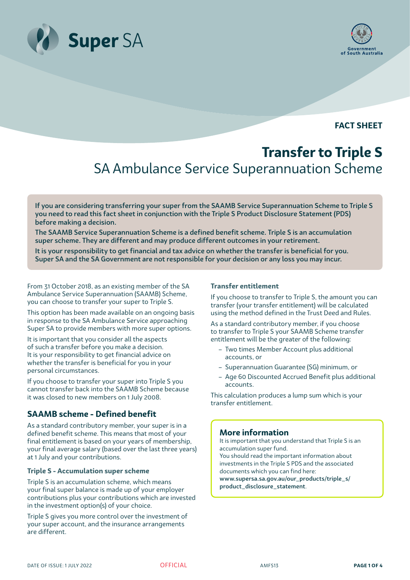



**FACT SHEET**

# **Transfer to Triple S**  SA Ambulance Service Superannuation Scheme

If you are considering transferring your super from the SAAMB Service Superannuation Scheme to Triple S you need to read this fact sheet in conjunction with the Triple S Product Disclosure Statement (PDS) before making a decision.

The SAAMB Service Superannuation Scheme is a defined benefit scheme. Triple S is an accumulation super scheme. They are different and may produce different outcomes in your retirement.

It is your responsibility to get financial and tax advice on whether the transfer is beneficial for you. Super SA and the SA Government are not responsible for your decision or any loss you may incur.

From 31 October 2018, as an existing member of the SA Ambulance Service Superannuation (SAAMB) Scheme, you can choose to transfer your super to Triple S.

This option has been made available on an ongoing basis in response to the SA Ambulance Service approaching Super SA to provide members with more super options.

It is important that you consider all the aspects of such a transfer before you make a decision. It is your responsibility to get financial advice on whether the transfer is beneficial for you in your personal circumstances.

If you choose to transfer your super into Triple S you cannot transfer back into the SAAMB Scheme because it was closed to new members on 1 July 2008.

# **SAAMB scheme - Defined benefit**

As a standard contributory member, your super is in a defined benefit scheme. This means that most of your final entitlement is based on your years of membership, your final average salary (based over the last three years) at 1 July and your contributions.

#### **Triple S - Accumulation super scheme**

Triple S is an accumulation scheme, which means your final super balance is made up of your employer contributions plus your contributions which are invested in the investment option(s) of your choice.

Triple S gives you more control over the investment of your super account, and the insurance arrangements are different.

#### **Transfer entitlement**

If you choose to transfer to Triple S, the amount you can transfer (your transfer entitlement) will be calculated using the method defined in the Trust Deed and Rules.

As a standard contributory member, if you choose to transfer to Triple S your SAAMB Scheme transfer entitlement will be the greater of the following:

- Two times Member Account plus additional accounts, or
- Superannuation Guarantee (SG) minimum, or
- Age 60 Discounted Accrued Benefit plus additional accounts.

This calculation produces a lump sum which is your transfer entitlement.

#### **More information**

It is important that you understand that Triple S is an accumulation super fund.

You should read the important information about investments in the Triple S PDS and the associated documents which you can find here: www.supersa.sa.gov.au/our\_products/triple\_s/

product\_disclosure\_statement.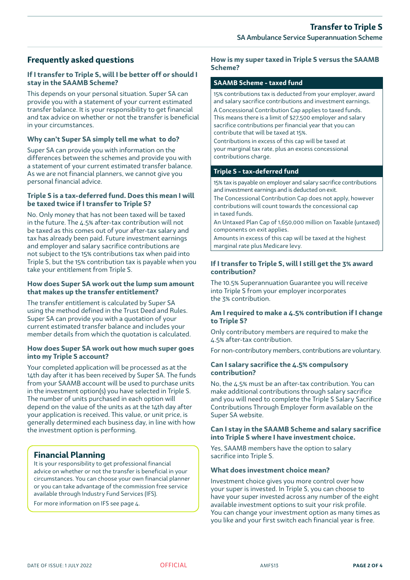# **Frequently asked questions**

#### **If I transfer to Triple S, will I be better off or should I stay in the SAAMB Scheme?**

This depends on your personal situation. Super SA can provide you with a statement of your current estimated transfer balance. It is your responsibility to get financial and tax advice on whether or not the transfer is beneficial in your circumstances.

#### **Why can't Super SA simply tell me what to do?**

Super SA can provide you with information on the differences between the schemes and provide you with a statement of your current estimated transfer balance. As we are not financial planners, we cannot give you personal financial advice.

#### **Triple S is a tax-deferred fund. Does this mean I will be taxed twice if I transfer to Triple S?**

No. Only money that has not been taxed will be taxed in the future. The 4.5% after-tax contribution will not be taxed as this comes out of your after-tax salary and tax has already been paid. Future investment earnings and employer and salary sacrifice contributions are not subject to the 15% contributions tax when paid into Triple S, but the 15% contribution tax is payable when you take your entitlement from Triple S.

#### **How does Super SA work out the lump sum amount that makes up the transfer entitlement?**

The transfer entitlement is calculated by Super SA using the method defined in the Trust Deed and Rules. Super SA can provide you with a quotation of your current estimated transfer balance and includes your member details from which the quotation is calculated.

#### **How does Super SA work out how much super goes into my Triple S account?**

Your completed application will be processed as at the 14th day after it has been received by Super SA. The funds from your SAAMB account will be used to purchase units in the investment option(s) you have selected in Triple S. The number of units purchased in each option will depend on the value of the units as at the 14th day after your application is received. This value, or unit price, is generally determined each business day, in line with how the investment option is performing.

# **Financial Planning**

It is your responsibility to get professional financial advice on whether or not the transfer is beneficial in your circumstances. You can choose your own financial planner or you can take advantage of the commission free service available through Industry Fund Services (IFS).

For more information on IFS see page 4.

**How is my super taxed in Triple S versus the SAAMB Scheme?**

#### **SAAMB Scheme - taxed fund**

15% contributions tax is deducted from your employer, award and salary sacrifice contributions and investment earnings. A Concessional Contribution Cap applies to taxed funds. This means there is a limit of \$27,500 employer and salary sacrifice contributions per financial year that you can contribute that will be taxed at 15%.

Contributions in excess of this cap will be taxed at your marginal tax rate, plus an excess concessional contributions charge.

#### **Triple S - tax-deferred fund**

15% tax is payable on employer and salary sacrifice contributions and investment earnings and is deducted on exit.

The Concessional Contribution Cap does not apply, however contributions will count towards the concessional cap in taxed funds.

An Untaxed Plan Cap of 1,650,000 million on Taxable (untaxed) components on exit applies.

Amounts in excess of this cap will be taxed at the highest marginal rate plus Medicare levy.

#### **If I transfer to Triple S, will I still get the 3% award contribution?**

The 10.5% Superannuation Guarantee you will receive into Triple S from your employer incorporates the 3% contribution.

#### **Am I required to make a 4.5% contribution if I change to Triple S?**

Only contributory members are required to make the 4.5% after-tax contribution.

For non-contributory members, contributions are voluntary.

#### **Can I salary sacrifice the 4.5% compulsory contribution?**

No, the 4.5% must be an after-tax contribution. You can make additional contributions through salary sacrifice and you will need to complete the Triple S Salary Sacrifice Contributions Through Employer form available on the Super SA website.

#### **Can I stay in the SAAMB Scheme and salary sacrifice into Triple S where I have investment choice.**

Yes, SAAMB members have the option to salary sacrifice into Triple S.

#### **What does investment choice mean?**

Investment choice gives you more control over how your super is invested. In Triple S, you can choose to have your super invested across any number of the eight available investment options to suit your risk profile. You can change your investment option as many times as you like and your first switch each financial year is free.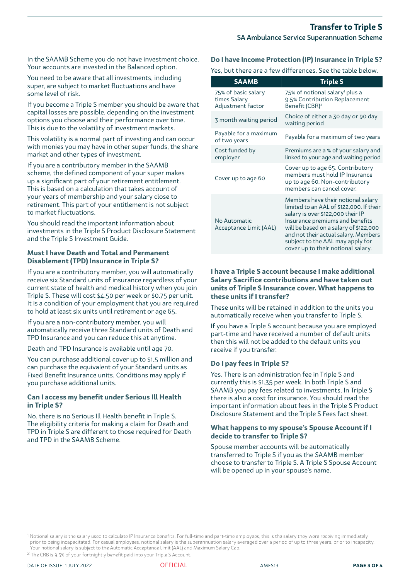In the SAAMB Scheme you do not have investment choice. Your accounts are invested in the Balanced option.

You need to be aware that all investments, including super, are subject to market fluctuations and have some level of risk.

If you become a Triple S member you should be aware that capital losses are possible, depending on the investment options you choose and their performance over time. This is due to the volatility of investment markets.

This volatility is a normal part of investing and can occur with monies you may have in other super funds, the share market and other types of investment.

If you are a contributory member in the SAAMB scheme, the defined component of your super makes up a significant part of your retirement entitlement. This is based on a calculation that takes account of your years of membership and your salary close to retirement. This part of your entitlement is not subject to market fluctuations.

You should read the important information about investments in the Triple S Product Disclosure Statement and the Triple S Investment Guide.

#### **Must I have Death and Total and Permanent Disablement (TPD) Insurance in Triple S?**

If you are a contributory member, you will automatically receive six Standard units of insurance regardless of your current state of health and medical history when you join Triple S. These will cost \$4.50 per week or \$0.75 per unit. It is a condition of your employment that you are required to hold at least six units until retirement or age 65.

If you are a non-contributory member, you will automatically receive three Standard units of Death and TPD Insurance and you can reduce this at anytime.

Death and TPD Insurance is available until age 70.

You can purchase additional cover up to \$1.5 million and can purchase the equivalent of your Standard units as Fixed Benefit Insurance units. Conditions may apply if you purchase additional units.

#### **Can I access my benefit under Serious Ill Health in Triple S?**

No, there is no Serious Ill Health benefit in Triple S. The eligibility criteria for making a claim for Death and TPD in Triple S are different to those required for Death and TPD in the SAAMB Scheme.

## **Do I have Income Protection (IP) Insurance in Triple S?**

Yes, but there are a few differences. See the table below.

| <b>SAAMB</b>                                             | <b>Triple S</b>                                                                                                                                                                                                                                                                                                    |
|----------------------------------------------------------|--------------------------------------------------------------------------------------------------------------------------------------------------------------------------------------------------------------------------------------------------------------------------------------------------------------------|
| 75% of basic salary<br>times Salary<br>Adjustment Factor | 75% of notional salary <sup>1</sup> plus a<br>9.5% Contribution Replacement<br>Benefit (CBR) <sup>2</sup>                                                                                                                                                                                                          |
| 3 month waiting period                                   | Choice of either a 30 day or 90 day<br>waiting period                                                                                                                                                                                                                                                              |
| Payable for a maximum<br>of two years                    | Payable for a maximum of two years                                                                                                                                                                                                                                                                                 |
| Cost funded by<br>employer                               | Premiums are a % of your salary and<br>linked to your age and waiting period                                                                                                                                                                                                                                       |
| Cover up to age 60                                       | Cover up to age 65. Contributory<br>members must hold IP Insurance<br>up to age 60. Non-contributory<br>members can cancel cover.                                                                                                                                                                                  |
| No Automatic<br>Acceptance Limit (AAL)                   | Members have their notional salary<br>limited to an AAL of \$122,000. If their<br>salary is over \$122,000 their IP<br>Insurance premiums and benefits<br>will be based on a salary of \$122,000<br>and not their actual salary. Members<br>subject to the AAL may apply for<br>cover up to their notional salary. |

#### **I have a Triple S account because I make additional Salary Sacrifice contributions and have taken out units of Triple S Insurance cover. What happens to these units if I transfer?**

These units will be retained in addition to the units you automatically receive when you transfer to Triple S.

If you have a Triple S account because you are employed part-time and have received a number of default units then this will not be added to the default units you receive if you transfer.

#### **Do I pay fees in Triple S?**

Yes. There is an administration fee in Triple S and currently this is \$1.35 per week. In both Triple S and SAAMB you pay fees related to investments. In Triple S there is also a cost for insurance. You should read the important information about fees in the Triple S Product Disclosure Statement and the Triple S Fees fact sheet.

#### **What happens to my spouse's Spouse Account if I decide to transfer to Triple S?**

Spouse member accounts will be automatically transferred to Triple S if you as the SAAMB member choose to transfer to Triple S. A Triple S Spouse Account will be opened up in your spouse's name.

2 The CRB is 9.5% of your fortnightly benefit paid into your Triple S Account.



<sup>1</sup> Notional salary is the salary used to calculate IP Insurance benefits. For full-time and part-time employees, this is the salary they were receiving immediately prior to being incapacitated. For casual employees, notional salary is the superannuation salary averaged over a period of up to three years, prior to incapacity. Your notional salary is subject to the Automatic Acceptance Limit (AAL) and Maximum Salary Cap.